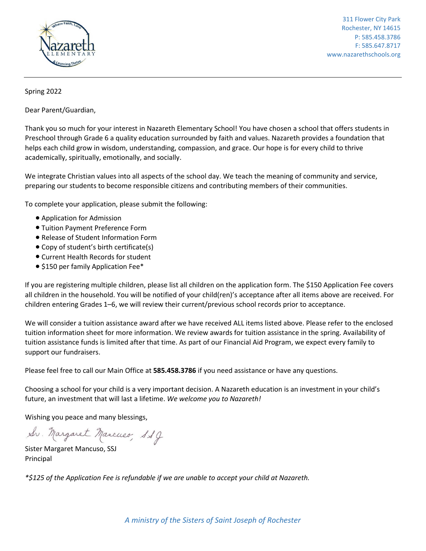

311 Flower City Park Rochester, NY 14615 P: 585.458.3786 F: 585.647.8717 www.nazarethschools.org

## Spring 2022

Dear Parent/Guardian,

Thank you so much for your interest in Nazareth Elementary School! You have chosen a school that offers students in Preschool through Grade 6 a quality education surrounded by faith and values. Nazareth provides a foundation that helps each child grow in wisdom, understanding, compassion, and grace. Our hope is for every child to thrive academically, spiritually, emotionally, and socially.

We integrate Christian values into all aspects of the school day. We teach the meaning of community and service, preparing our students to become responsible citizens and contributing members of their communities.

To complete your application, please submit the following:

- Application for Admission
- Tuition Payment Preference Form
- Release of Student Information Form
- Copy of student's birth certificate(s)
- Current Health Records for student
- \$150 per family Application Fee\*

If you are registering multiple children, please list all children on the application form. The \$150 Application Fee covers all children in the household. You will be notified of your child(ren)'s acceptance after all items above are received. For children entering Grades 1–6, we will review their current/previous school records prior to acceptance.

We will consider a tuition assistance award after we have received ALL items listed above. Please refer to the enclosed tuition information sheet for more information. We review awards for tuition assistance in the spring. Availability of tuition assistance funds is limited after that time. As part of our Financial Aid Program, we expect every family to support our fundraisers.

Please feel free to call our Main Office at **585.458.3786** if you need assistance or have any questions.

Choosing a school for your child is a very important decision. A Nazareth education is an investment in your child's future, an investment that will last a lifetime. *We welcome you to Nazareth!*

Wishing you peace and many blessings,

Sv. Margaret Marcuso, SSJ

Sister Margaret Mancuso, SSJ Principal

*\*\$125 of the Application Fee is refundable if we are unable to accept your child at Nazareth.*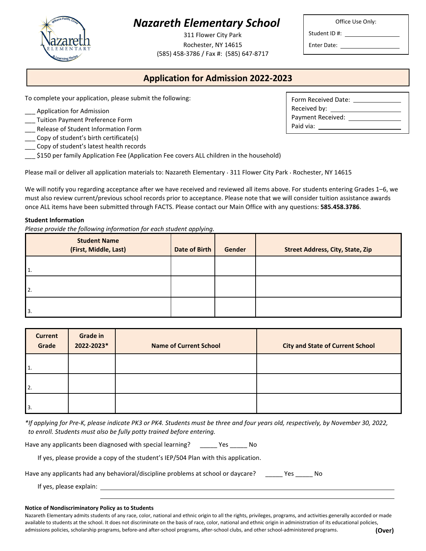# *Nazareth Elementary School*

311 Flower City Park Rochester, NY 14615 (585) 458-3786 / Fax #: (585) 647-8717

#### Office Use Only:

Student ID #:

Enter Date: \_

# **Application for Admission 2022-2023**

To complete your application, please submit the following:

- Application for Admission
- \_\_\_ Tuition Payment Preference Form
- \_\_\_ Release of Student Information Form
- Copy of student's birth certificate(s)
- Copy of student's latest health records
- \_\_\_ \$150 per family Application Fee (Application Fee covers ALL children in the household)

Please mail or deliver all application materials to: Nazareth Elementary ∙ 311 Flower City Park ∙ Rochester, NY 14615

We will notify you regarding acceptance after we have received and reviewed all items above. For students entering Grades 1–6, we must also review current/previous school records prior to acceptance. Please note that we will consider tuition assistance awards once ALL items have been submitted through FACTS. Please contact our Main Office with any questions: **585.458.3786**.

#### **Student Information**

*Please provide the following information for each student applying.*

| <b>Student Name</b><br>(First, Middle, Last) | <b>Date of Birth</b> | Gender | <b>Street Address, City, State, Zip</b> |
|----------------------------------------------|----------------------|--------|-----------------------------------------|
| '1.                                          |                      |        |                                         |
| 2.                                           |                      |        |                                         |
| 3.                                           |                      |        |                                         |

| <b>Current</b><br>Grade | <b>Grade in</b><br>2022-2023* | <b>Name of Current School</b> | <b>City and State of Current School</b> |
|-------------------------|-------------------------------|-------------------------------|-----------------------------------------|
| 1.                      |                               |                               |                                         |
| 2.                      |                               |                               |                                         |
| 3.                      |                               |                               |                                         |

*\*If applying for Pre-K, please indicate PK3 or PK4. Students must be three and four years old, respectively, by November 30, 2022, to enroll. Students must also be fully potty trained before entering.*

Have any applicants been diagnosed with special learning? \_\_\_\_\_\_ Yes \_\_\_\_\_ No

If yes, please provide a copy of the student's IEP/504 Plan with this application.

| Have any applicants had any behavioral/discipline problems at school or daycare? | Yes | No. |
|----------------------------------------------------------------------------------|-----|-----|
|----------------------------------------------------------------------------------|-----|-----|

If yes, please explain:

#### **Notice of Nondiscriminatory Policy as to Students**

Nazareth Elementary admits students of any race, color, national and ethnic origin to all the rights, privileges, programs, and activities generally accorded or made available to students at the school. It does not discriminate on the basis of race, color, national and ethnic origin in administration of its educational policies, admissions policies, scholarship programs, before-and after-school programs, after-school clubs, and other school-administered programs. **(Over)**



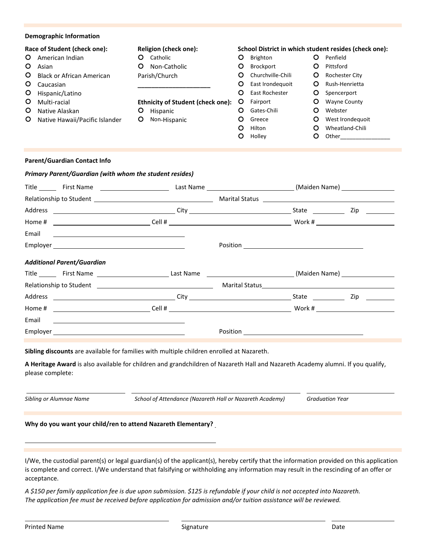| <b>Demographic Information</b>                                                                                                                                                                                                                       |                                                                                                                                                    |                                                                                                                                                                                                                                                                      |                                                                                   |                                                                                                                                                   |
|------------------------------------------------------------------------------------------------------------------------------------------------------------------------------------------------------------------------------------------------------|----------------------------------------------------------------------------------------------------------------------------------------------------|----------------------------------------------------------------------------------------------------------------------------------------------------------------------------------------------------------------------------------------------------------------------|-----------------------------------------------------------------------------------|---------------------------------------------------------------------------------------------------------------------------------------------------|
| Race of Student (check one):<br>O<br>American Indian<br>$\circ$<br>Asian<br>O<br><b>Black or African American</b><br>O<br>Caucasian<br>$\circ$<br>Hispanic/Latino<br>O<br>Multi-racial<br>O<br>Native Alaskan<br>Native Hawaii/Pacific Islander<br>O | Religion (check one):<br>O Catholic<br>O Non-Catholic<br>Parish/Church<br><b>Ethnicity of Student (check one):</b><br>O Hispanic<br>O Non-Hispanic | School District in which student resides (check one):<br>O<br>Brighton<br>Brockport<br>O<br>Churchville-Chili<br>O<br>East Irondequoit<br>O<br>East Rochester<br>O<br>$\circ$<br>Fairport<br><b>O</b> Gates-Chili<br>$\circ$<br>Greece<br>Hilton<br>O<br>O<br>Holley | $\circ$<br>$\circ$<br>O<br>O<br>O<br>O<br>O<br>$\circ$<br>$\circ$<br>$\mathbf{O}$ | Penfield<br>Pittsford<br>Rochester City<br>Rush-Henrietta<br>Spencerport<br><b>Wayne County</b><br>Webster<br>West Irondequoit<br>Wheatland-Chili |
| <b>Parent/Guardian Contact Info</b>                                                                                                                                                                                                                  |                                                                                                                                                    |                                                                                                                                                                                                                                                                      |                                                                                   |                                                                                                                                                   |
| Primary Parent/Guardian (with whom the student resides)                                                                                                                                                                                              |                                                                                                                                                    |                                                                                                                                                                                                                                                                      |                                                                                   |                                                                                                                                                   |
| Title _________ First Name ______________________________Last Name ________________________________(Maiden Name) ______________________                                                                                                              |                                                                                                                                                    |                                                                                                                                                                                                                                                                      |                                                                                   |                                                                                                                                                   |
|                                                                                                                                                                                                                                                      |                                                                                                                                                    |                                                                                                                                                                                                                                                                      |                                                                                   |                                                                                                                                                   |
|                                                                                                                                                                                                                                                      |                                                                                                                                                    |                                                                                                                                                                                                                                                                      |                                                                                   |                                                                                                                                                   |
|                                                                                                                                                                                                                                                      |                                                                                                                                                    |                                                                                                                                                                                                                                                                      |                                                                                   |                                                                                                                                                   |
| Email                                                                                                                                                                                                                                                |                                                                                                                                                    |                                                                                                                                                                                                                                                                      |                                                                                   |                                                                                                                                                   |
|                                                                                                                                                                                                                                                      |                                                                                                                                                    |                                                                                                                                                                                                                                                                      |                                                                                   |                                                                                                                                                   |
| <b>Additional Parent/Guardian</b>                                                                                                                                                                                                                    |                                                                                                                                                    |                                                                                                                                                                                                                                                                      |                                                                                   |                                                                                                                                                   |
|                                                                                                                                                                                                                                                      |                                                                                                                                                    |                                                                                                                                                                                                                                                                      |                                                                                   |                                                                                                                                                   |
|                                                                                                                                                                                                                                                      |                                                                                                                                                    |                                                                                                                                                                                                                                                                      |                                                                                   |                                                                                                                                                   |
|                                                                                                                                                                                                                                                      |                                                                                                                                                    |                                                                                                                                                                                                                                                                      |                                                                                   |                                                                                                                                                   |
| Home #                                                                                                                                                                                                                                               |                                                                                                                                                    |                                                                                                                                                                                                                                                                      |                                                                                   |                                                                                                                                                   |
| Email<br><u> 1989 - Andrea Stadt Britain, amerikansk politiker (</u>                                                                                                                                                                                 |                                                                                                                                                    |                                                                                                                                                                                                                                                                      |                                                                                   |                                                                                                                                                   |
|                                                                                                                                                                                                                                                      |                                                                                                                                                    |                                                                                                                                                                                                                                                                      |                                                                                   |                                                                                                                                                   |
|                                                                                                                                                                                                                                                      |                                                                                                                                                    |                                                                                                                                                                                                                                                                      |                                                                                   |                                                                                                                                                   |
| Sibling discounts are available for families with multiple children enrolled at Nazareth.                                                                                                                                                            |                                                                                                                                                    |                                                                                                                                                                                                                                                                      |                                                                                   |                                                                                                                                                   |
| We there are the property of the property of the discreter of the property of the property of a deligious openional to the the condition of a particle of the product of the product of the product of the product of the prod                       |                                                                                                                                                    |                                                                                                                                                                                                                                                                      |                                                                                   |                                                                                                                                                   |

**A Heritage Award** is also available for children and grandchildren of Nazareth Hall and Nazareth Academy alumni. If you qualify, please complete:

*Sibling or Alumnae Name School of Attendance (Nazareth Hall or Nazareth Academy) Graduation Year*

## **Why do you want your child/ren to attend Nazareth Elementary?**

I/We, the custodial parent(s) or legal guardian(s) of the applicant(s), hereby certify that the information provided on this application is complete and correct. I/We understand that falsifying or withholding any information may result in the rescinding of an offer or acceptance.

*A \$150 per family application fee is due upon submission. \$125 is refundable if your child is not accepted into Nazareth. The application fee must be received before application for admission and/or tuition assistance will be reviewed.*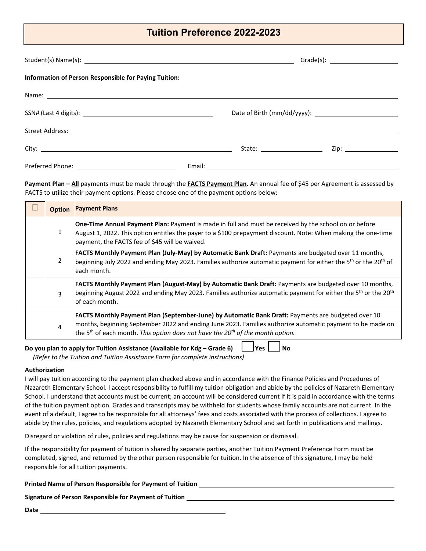## **Tuition Preference 2022-2023**

| Information of Person Responsible for Paying Tuition: |                              |                       |
|-------------------------------------------------------|------------------------------|-----------------------|
|                                                       |                              |                       |
|                                                       |                              |                       |
|                                                       |                              |                       |
|                                                       | State: _____________________ | Zip: ________________ |
|                                                       |                              |                       |

**Payment Plan – All** payments must be made through the **FACTS Payment Plan.** An annual fee of \$45 per Agreement is assessed by FACTS to utilize their payment options. Please choose one of the payment options below:

|                | <b>Option Payment Plans</b>                                                                                                                                                                                                                                                                                                      |
|----------------|----------------------------------------------------------------------------------------------------------------------------------------------------------------------------------------------------------------------------------------------------------------------------------------------------------------------------------|
| 1              | One-Time Annual Payment Plan: Payment is made in full and must be received by the school on or before<br>August 1, 2022. This option entitles the payer to a \$100 prepayment discount. Note: When making the one-time<br>payment, the FACTS fee of \$45 will be waived.                                                         |
| 2              | <b>FACTS Monthly Payment Plan (July-May) by Automatic Bank Draft: Payments are budgeted over 11 months,</b><br>beginning July 2022 and ending May 2023. Families authorize automatic payment for either the 5 <sup>th</sup> or the 20 <sup>th</sup> of<br>each month.                                                            |
| $\overline{3}$ | FACTS Monthly Payment Plan (August-May) by Automatic Bank Draft: Payments are budgeted over 10 months,<br>beginning August 2022 and ending May 2023. Families authorize automatic payment for either the 5th or the 20 <sup>th</sup><br>of each month.                                                                           |
| $\overline{4}$ | <b>FACTS Monthly Payment Plan (September-June) by Automatic Bank Draft: Payments are budgeted over 10</b><br>months, beginning September 2022 and ending June 2023. Families authorize automatic payment to be made on<br>the 5 <sup>th</sup> of each month. This option does not have the 20 <sup>th</sup> of the month option. |

**Do you plan to apply for Tuition Assistance (Available for Kdg – Grade 6)**  $\Box$  Yes  $\Box$  No

 *(Refer to the Tuition and Tuition Assistance Form for complete instructions)*

#### **Authorization**

I will pay tuition according to the payment plan checked above and in accordance with the Finance Policies and Procedures of Nazareth Elementary School. I accept responsibility to fulfill my tuition obligation and abide by the policies of Nazareth Elementary School. I understand that accounts must be current; an account will be considered current if it is paid in accordance with the terms of the tuition payment option. Grades and transcripts may be withheld for students whose family accounts are not current. In the event of a default, I agree to be responsible for all attorneys' fees and costs associated with the process of collections. I agree to abide by the rules, policies, and regulations adopted by Nazareth Elementary School and set forth in publications and mailings.

Disregard or violation of rules, policies and regulations may be cause for suspension or dismissal.

If the responsibility for payment of tuition is shared by separate parties, another Tuition Payment Preference Form must be completed, signed, and returned by the other person responsible for tuition. In the absence of this signature, I may be held responsible for all tuition payments.

| Printed Name of Person Responsible for Payment of Tuition |  |
|-----------------------------------------------------------|--|
|-----------------------------------------------------------|--|

## **Signature of Person Responsible for Payment of Tuition**

**Date**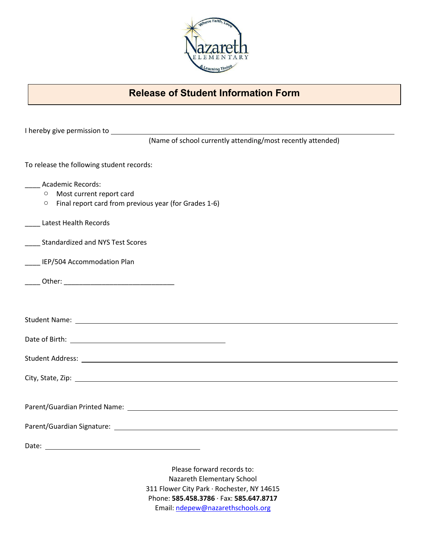

## **Release of Student Information Form**

| (Name of school currently attending/most recently attended)                                                       |
|-------------------------------------------------------------------------------------------------------------------|
| To release the following student records:                                                                         |
| _____ Academic Records:                                                                                           |
| Most current report card<br>$\circ$                                                                               |
| Final report card from previous year (for Grades 1-6)<br>$\circ$                                                  |
| Latest Health Records                                                                                             |
| ____ Standardized and NYS Test Scores                                                                             |
| ____ IEP/504 Accommodation Plan                                                                                   |
|                                                                                                                   |
|                                                                                                                   |
|                                                                                                                   |
|                                                                                                                   |
|                                                                                                                   |
|                                                                                                                   |
|                                                                                                                   |
| Parent/Guardian Printed Name: Name and Security and Security Assembly and Security Assembly and Security Assembly |
|                                                                                                                   |
| Date:                                                                                                             |
|                                                                                                                   |
| Please forward records to:                                                                                        |
| Nazareth Elementary School                                                                                        |
| 311 Flower City Park · Rochester, NY 14615                                                                        |
| Phone: 585.458.3786 · Fax: 585.647.8717                                                                           |
| Email: ndepew@nazarethschools.org                                                                                 |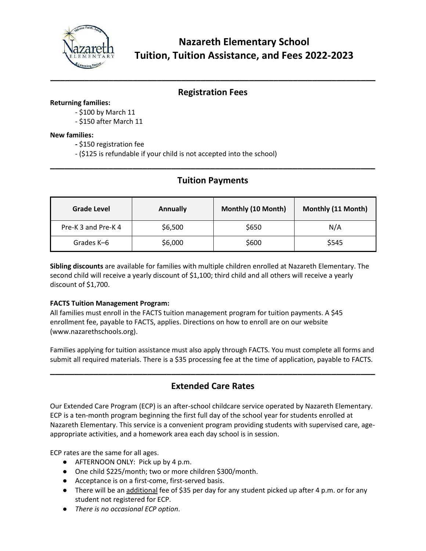

## **Registration Fees**

**\_\_\_\_\_\_\_\_\_\_\_\_\_\_\_\_\_\_\_\_\_\_\_\_\_\_\_\_\_\_\_\_\_\_\_\_\_\_\_\_\_\_\_\_\_\_\_\_\_\_\_\_\_\_\_\_\_\_\_\_\_\_\_\_\_\_\_**

#### **Returning families:**

- \$100 by March 11
- \$150 after March 11

#### **New families:**

- **-** \$150 registration fee
- (\$125 is refundable if your child is not accepted into the school)

## **Tuition Payments**

**\_\_\_\_\_\_\_\_\_\_\_\_\_\_\_\_\_\_\_\_\_\_\_\_\_\_\_\_\_\_\_\_\_\_\_\_\_\_\_\_\_\_\_\_\_\_\_\_\_\_\_\_\_\_\_\_\_\_\_\_\_\_\_\_\_\_\_**

| <b>Grade Level</b>  | Annually | Monthly (10 Month) | Monthly (11 Month) |
|---------------------|----------|--------------------|--------------------|
| Pre-K 3 and Pre-K 4 | \$6,500  | \$650              | N/A                |
| Grades K-6          | \$6,000  | \$600              | \$545              |

**Sibling discounts** are available for families with multiple children enrolled at Nazareth Elementary. The second child will receive a yearly discount of \$1,100; third child and all others will receive a yearly discount of \$1,700.

## **FACTS Tuition Management Program:**

All families must enroll in the FACTS tuition management program for tuition payments. A \$45 enrollment fee, payable to FACTS, applies. Directions on how to enroll are on our website (www.nazarethschools.org).

Families applying for tuition assistance must also apply through FACTS. You must complete all forms and submit all required materials. There is a \$35 processing fee at the time of application, payable to FACTS.

## **Extended Care Rates**

**\_\_\_\_\_\_\_\_\_\_\_\_\_\_\_\_\_\_\_\_\_\_\_\_\_\_\_\_\_\_\_\_\_\_\_\_\_\_\_\_\_\_\_\_\_\_\_\_\_\_\_\_\_\_\_\_\_\_\_\_\_\_\_\_\_\_\_**

Our Extended Care Program (ECP) is an after-school childcare service operated by Nazareth Elementary. ECP is a ten-month program beginning the first full day of the school year for students enrolled at Nazareth Elementary. This service is a convenient program providing students with supervised care, ageappropriate activities, and a homework area each day school is in session.

ECP rates are the same for all ages.

- AFTERNOON ONLY: Pick up by 4 p.m.
- One child \$225/month; two or more children \$300/month.
- Acceptance is on a first-come, first-served basis.
- There will be an additional fee of \$35 per day for any student picked up after 4 p.m. or for any student not registered for ECP.
- *There is no occasional ECP option*.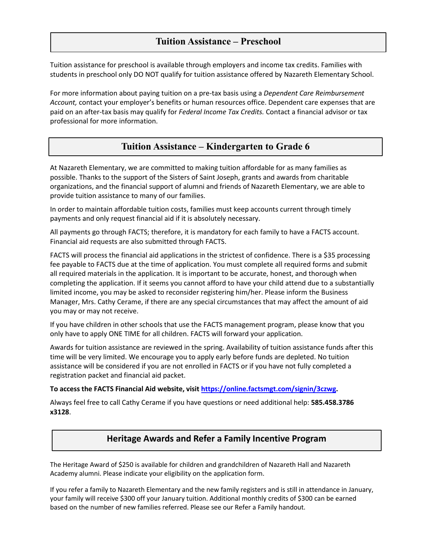## **Tuition Assistance – Preschool**

Tuition assistance for preschool is available through employers and income tax credits. Families with students in preschool only DO NOT qualify for tuition assistance offered by Nazareth Elementary School.

For more information about paying tuition on a pre-tax basis using a *Dependent Care Reimbursement Account,* contact your employer's benefits or human resources office. Dependent care expenses that are paid on an after-tax basis may qualify for *Federal Income Tax Credits.* Contact a financial advisor or tax professional for more information.

## **Tuition Assistance – Kindergarten to Grade 6**

At Nazareth Elementary, we are committed to making tuition affordable for as many families as possible. Thanks to the support of the Sisters of Saint Joseph, grants and awards from charitable organizations, and the financial support of alumni and friends of Nazareth Elementary, we are able to provide tuition assistance to many of our families.

In order to maintain affordable tuition costs, families must keep accounts current through timely payments and only request financial aid if it is absolutely necessary.

All payments go through FACTS; therefore, it is mandatory for each family to have a FACTS account. Financial aid requests are also submitted through FACTS.

FACTS will process the financial aid applications in the strictest of confidence. There is a \$35 processing fee payable to FACTS due at the time of application. You must complete all required forms and submit all required materials in the application. It is important to be accurate, honest, and thorough when completing the application. If it seems you cannot afford to have your child attend due to a substantially limited income, you may be asked to reconsider registering him/her. Please inform the Business Manager, Mrs. Cathy Cerame, if there are any special circumstances that may affect the amount of aid you may or may not receive.

If you have children in other schools that use the FACTS management program, please know that you only have to apply ONE TIME for all children. FACTS will forward your application.

Awards for tuition assistance are reviewed in the spring. Availability of tuition assistance funds after this time will be very limited. We encourage you to apply early before funds are depleted. No tuition assistance will be considered if you are not enrolled in FACTS or if you have not fully completed a registration packet and financial aid packet.

#### **To access the FACTS Financial Aid website, visit [https://online.factsmgt.com/signin/3czwg.](https://online.factsmgt.com/signin/3czwg)**

Always feel free to call Cathy Cerame if you have questions or need additional help: **585.458.3786 x3128**.

## **Heritage Awards and Refer a Family Incentive Program**

The Heritage Award of \$250 is available for children and grandchildren of Nazareth Hall and Nazareth Academy alumni. Please indicate your eligibility on the application form.

If you refer a family to Nazareth Elementary and the new family registers and is still in attendance in January, your family will receive \$300 off your January tuition. Additional monthly credits of \$300 can be earned based on the number of new families referred. Please see our Refer a Family handout.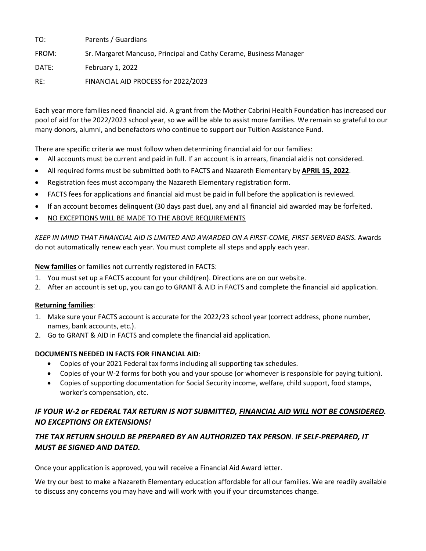| TO:   | Parents / Guardians                                                |
|-------|--------------------------------------------------------------------|
| FROM: | Sr. Margaret Mancuso, Principal and Cathy Cerame, Business Manager |
| DATE: | February 1, 2022                                                   |
| RE:   | FINANCIAL AID PROCESS for 2022/2023                                |

Each year more families need financial aid. A grant from the Mother Cabrini Health Foundation has increased our pool of aid for the 2022/2023 school year, so we will be able to assist more families. We remain so grateful to our many donors, alumni, and benefactors who continue to support our Tuition Assistance Fund.

There are specific criteria we must follow when determining financial aid for our families:

- All accounts must be current and paid in full. If an account is in arrears, financial aid is not considered.
- All required forms must be submitted both to FACTS and Nazareth Elementary by **APRIL 15, 2022**.
- Registration fees must accompany the Nazareth Elementary registration form.
- FACTS fees for applications and financial aid must be paid in full before the application is reviewed.
- If an account becomes delinquent (30 days past due), any and all financial aid awarded may be forfeited.
- NO EXCEPTIONS WILL BE MADE TO THE ABOVE REQUIREMENTS

*KEEP IN MIND THAT FINANCIAL AID IS LIMITED AND AWARDED ON A FIRST-COME, FIRST-SERVED BASIS.* Awards do not automatically renew each year. You must complete all steps and apply each year.

#### **New families** or families not currently registered in FACTS:

- 1. You must set up a FACTS account for your child(ren). Directions are on our website.
- 2. After an account is set up, you can go to GRANT & AID in FACTS and complete the financial aid application.

## **Returning families**:

- 1. Make sure your FACTS account is accurate for the 2022/23 school year (correct address, phone number, names, bank accounts, etc.).
- 2. Go to GRANT & AID in FACTS and complete the financial aid application.

## **DOCUMENTS NEEDED IN FACTS FOR FINANCIAL AID**:

- Copies of your 2021 Federal tax forms including all supporting tax schedules.
- Copies of your W-2 forms for both you and your spouse (or whomever is responsible for paying tuition).
- Copies of supporting documentation for Social Security income, welfare, child support, food stamps, worker's compensation, etc.

## *IF YOUR W-2 or FEDERAL TAX RETURN IS NOT SUBMITTED, FINANCIAL AID WILL NOT BE CONSIDERED. NO EXCEPTIONS OR EXTENSIONS!*

## *THE TAX RETURN SHOULD BE PREPARED BY AN AUTHORIZED TAX PERSON*. *IF SELF-PREPARED, IT MUST BE SIGNED AND DATED.*

Once your application is approved, you will receive a Financial Aid Award letter.

We try our best to make a Nazareth Elementary education affordable for all our families. We are readily available to discuss any concerns you may have and will work with you if your circumstances change.